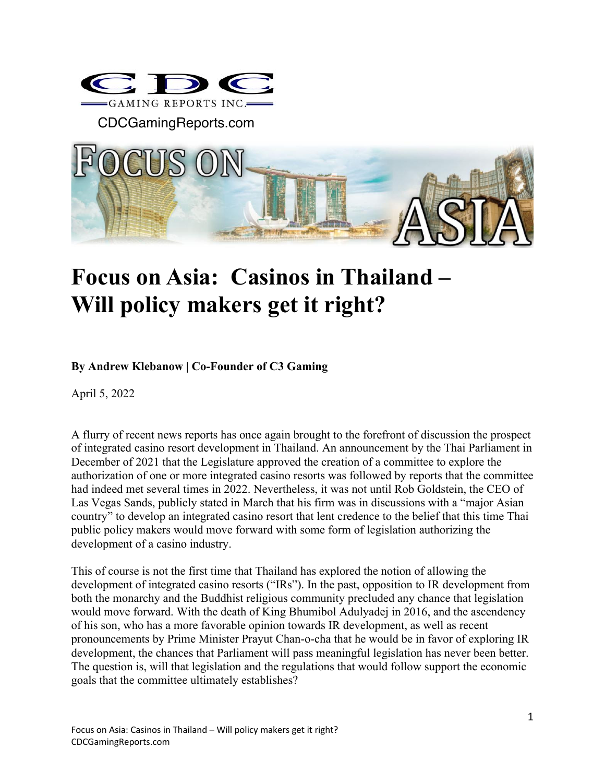

CDCGamingReports.com



## **Focus on Asia: Casinos in Thailand – Will policy makers get it right?**

## **By Andrew Klebanow | Co-Founder of C3 Gaming**

April 5, 2022

A flurry of recent news reports has once again brought to the forefront of discussion the prospect of integrated casino resort development in Thailand. An announcement by the Thai Parliament in December of 2021 that the Legislature approved the creation of a committee to explore the authorization of one or more integrated casino resorts was followed by reports that the committee had indeed met several times in 2022. Nevertheless, it was not until Rob Goldstein, the CEO of Las Vegas Sands, publicly stated in March that his firm was in discussions with a "major Asian country" to develop an integrated casino resort that lent credence to the belief that this time Thai public policy makers would move forward with some form of legislation authorizing the development of a casino industry.

This of course is not the first time that Thailand has explored the notion of allowing the development of integrated casino resorts ("IRs"). In the past, opposition to IR development from both the monarchy and the Buddhist religious community precluded any chance that legislation would move forward. With the death of King Bhumibol Adulyadej in 2016, and the ascendency of his son, who has a more favorable opinion towards IR development, as well as recent pronouncements by Prime Minister Prayut Chan-o-cha that he would be in favor of exploring IR development, the chances that Parliament will pass meaningful legislation has never been better. The question is, will that legislation and the regulations that would follow support the economic goals that the committee ultimately establishes?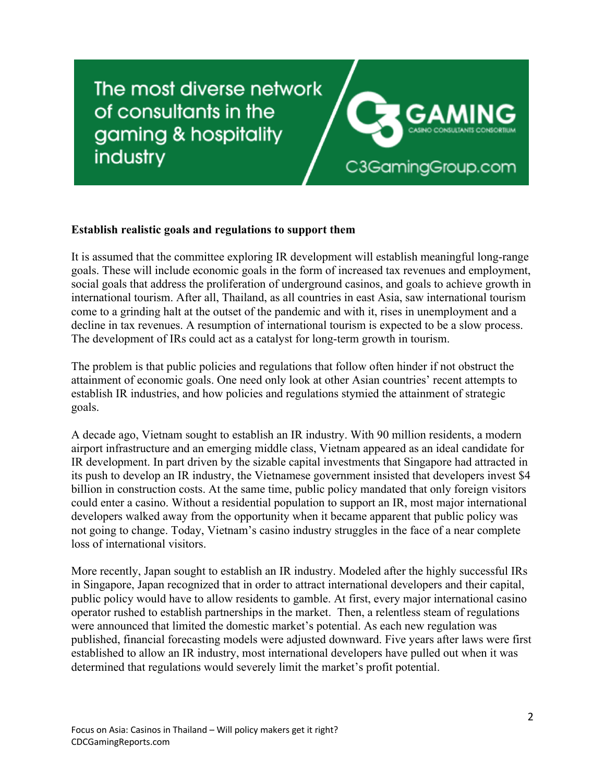## The most diverse network of consultants in the gaming & hospitality industry



## **Establish realistic goals and regulations to support them**

It is assumed that the committee exploring IR development will establish meaningful long-range goals. These will include economic goals in the form of increased tax revenues and employment, social goals that address the proliferation of underground casinos, and goals to achieve growth in international tourism. After all, Thailand, as all countries in east Asia, saw international tourism come to a grinding halt at the outset of the pandemic and with it, rises in unemployment and a decline in tax revenues. A resumption of international tourism is expected to be a slow process. The development of IRs could act as a catalyst for long-term growth in tourism.

The problem is that public policies and regulations that follow often hinder if not obstruct the attainment of economic goals. One need only look at other Asian countries' recent attempts to establish IR industries, and how policies and regulations stymied the attainment of strategic goals.

A decade ago, Vietnam sought to establish an IR industry. With 90 million residents, a modern airport infrastructure and an emerging middle class, Vietnam appeared as an ideal candidate for IR development. In part driven by the sizable capital investments that Singapore had attracted in its push to develop an IR industry, the Vietnamese government insisted that developers invest \$4 billion in construction costs. At the same time, public policy mandated that only foreign visitors could enter a casino. Without a residential population to support an IR, most major international developers walked away from the opportunity when it became apparent that public policy was not going to change. Today, Vietnam's casino industry struggles in the face of a near complete loss of international visitors.

More recently, Japan sought to establish an IR industry. Modeled after the highly successful IRs in Singapore, Japan recognized that in order to attract international developers and their capital, public policy would have to allow residents to gamble. At first, every major international casino operator rushed to establish partnerships in the market. Then, a relentless steam of regulations were announced that limited the domestic market's potential. As each new regulation was published, financial forecasting models were adjusted downward. Five years after laws were first established to allow an IR industry, most international developers have pulled out when it was determined that regulations would severely limit the market's profit potential.